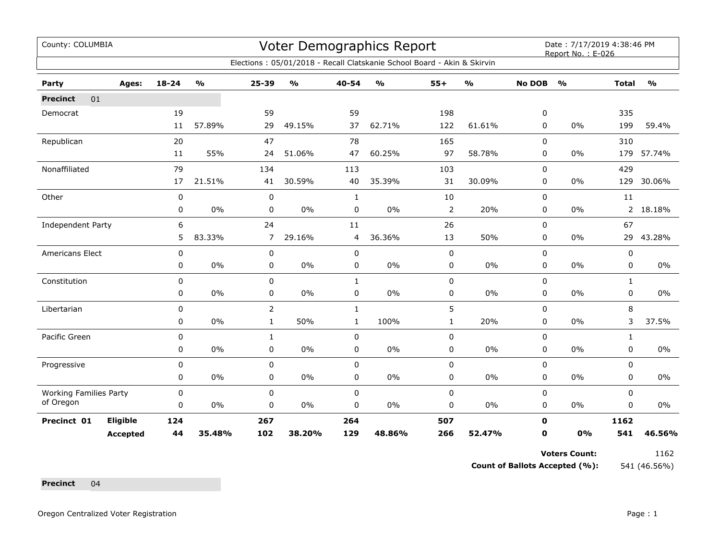## Voter Demographics Report

Date: 7/17/2019 4:38:46 PM<br>Report No. : E-026

|                               | Elections: 05/01/2018 - Recall Clatskanie School Board - Akin & Skirvin |           |               |                |               |              |               |                |               |               |               |              |               |
|-------------------------------|-------------------------------------------------------------------------|-----------|---------------|----------------|---------------|--------------|---------------|----------------|---------------|---------------|---------------|--------------|---------------|
| Party                         | Ages:                                                                   | $18 - 24$ | $\frac{1}{2}$ | $25 - 39$      | $\frac{0}{0}$ | 40-54        | $\frac{1}{2}$ | $55+$          | $\frac{1}{2}$ | <b>No DOB</b> | $\frac{1}{2}$ | <b>Total</b> | $\frac{1}{2}$ |
| 01<br><b>Precinct</b>         |                                                                         |           |               |                |               |              |               |                |               |               |               |              |               |
| Democrat                      |                                                                         | 19        |               | 59             |               | 59           |               | 198            |               | 0             |               | 335          |               |
|                               |                                                                         | 11        | 57.89%        | 29             | 49.15%        | 37           | 62.71%        | 122            | 61.61%        | 0             | 0%            | 199          | 59.4%         |
| Republican                    |                                                                         | 20        |               | 47             |               | 78           |               | 165            |               | $\mathbf 0$   |               | 310          |               |
|                               |                                                                         | 11        | 55%           | 24             | 51.06%        | 47           | 60.25%        | 97             | 58.78%        | $\mathbf 0$   | 0%            | 179          | 57.74%        |
| Nonaffiliated                 |                                                                         | 79        |               | 134            |               | 113          |               | 103            |               | $\pmb{0}$     |               | 429          |               |
|                               |                                                                         | 17        | 21.51%        | 41             | 30.59%        | 40           | 35.39%        | 31             | 30.09%        | 0             | $0\%$         | 129          | 30.06%        |
| Other                         |                                                                         | 0         |               | 0              |               | 1            |               | 10             |               | $\mathbf 0$   |               | 11           |               |
|                               |                                                                         | 0         | $0\%$         | 0              | 0%            | 0            | $0\%$         | $\overline{2}$ | 20%           | 0             | $0\%$         | $2^{\circ}$  | 18.18%        |
| <b>Independent Party</b>      |                                                                         | 6         |               | 24             |               | 11           |               | 26             |               | $\mathbf 0$   |               | 67           |               |
|                               |                                                                         | 5         | 83.33%        | 7              | 29.16%        | 4            | 36.36%        | 13             | 50%           | 0             | 0%            | 29           | 43.28%        |
| Americans Elect               |                                                                         | 0         |               | 0              |               | 0            |               | 0              |               | $\mathbf 0$   |               | 0            |               |
|                               |                                                                         | 0         | 0%            | 0              | 0%            | 0            | $0\%$         | 0              | $0\%$         | $\pmb{0}$     | $0\%$         | 0            | $0\%$         |
| Constitution                  |                                                                         | 0         |               | 0              |               | $\mathbf{1}$ |               | 0              |               | $\mathbf 0$   |               | $\mathbf{1}$ |               |
|                               |                                                                         | 0         | 0%            | 0              | 0%            | 0            | $0\%$         | 0              | 0%            | 0             | 0%            | 0            | $0\%$         |
| Libertarian                   |                                                                         | 0         |               | $\overline{2}$ |               | $\mathbf{1}$ |               | 5              |               | $\mathbf 0$   |               | 8            |               |
|                               |                                                                         | 0         | 0%            | $\mathbf{1}$   | 50%           | $\mathbf{1}$ | 100%          | $\mathbf{1}$   | 20%           | $\mathbf 0$   | 0%            | 3            | 37.5%         |
| Pacific Green                 |                                                                         | 0         |               | $\mathbf{1}$   |               | 0            |               | 0              |               | $\mathbf 0$   |               | $\mathbf{1}$ |               |
|                               |                                                                         | 0         | $0\%$         | 0              | $0\%$         | 0            | 0%            | 0              | $0\%$         | $\mathbf 0$   | 0%            | 0            | $0\%$         |
| Progressive                   |                                                                         | 0         |               | $\mathbf 0$    |               | $\mathbf 0$  |               | 0              |               | $\mathbf 0$   |               | 0            |               |
|                               |                                                                         | 0         | $0\%$         | 0              | 0%            | 0            | $0\%$         | 0              | $0\%$         | 0             | $0\%$         | 0            | $0\%$         |
| <b>Working Families Party</b> |                                                                         | $\pmb{0}$ |               | 0              |               | 0            |               | 0              |               | $\mathbf 0$   |               | 0            |               |
| of Oregon                     |                                                                         | 0         | 0%            | 0              | 0%            | 0            | 0%            | 0              | 0%            | 0             | 0%            | 0            | 0%            |
| Precinct 01                   | Eligible                                                                | 124       |               | 267            |               | 264          |               | 507            |               | 0             |               | 1162         |               |
|                               | <b>Accepted</b>                                                         | 44        | 35.48%        | 102            | 38.20%        | 129          | 48.86%        | 266            | 52.47%        | 0             | 0%            | 541          | 46.56%        |

**Voters Count:** 1162

**Count of Ballots Accepted (%):** 541 (46.56%)

**Precinct** 04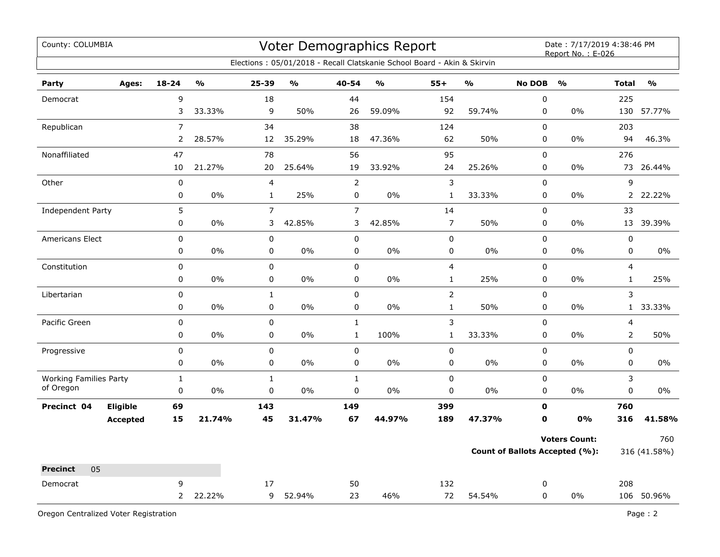| County: COLUMBIA                           |                     |                       |                          | Voter Demographics Report<br>Elections: 05/01/2018 - Recall Clatskanie School Board - Akin & Skirvin | Date: 7/17/2019 4:38:46 PM<br>Report No.: E-026 |               |                                |               |                            |                                                        |                                |                     |
|--------------------------------------------|---------------------|-----------------------|--------------------------|------------------------------------------------------------------------------------------------------|-------------------------------------------------|---------------|--------------------------------|---------------|----------------------------|--------------------------------------------------------|--------------------------------|---------------------|
| Party<br>Ages:                             | $18 - 24$           | $\frac{0}{0}$         | $25 - 39$                | %                                                                                                    | 40-54                                           | $\frac{0}{0}$ | $55+$                          | $\frac{0}{0}$ | <b>No DOB</b>              | $\mathbf{O}/\mathbf{O}$                                | <b>Total</b>                   | $\frac{9}{6}$       |
| Democrat                                   | 9<br>3              | 33.33%                | 18<br>9                  | 50%                                                                                                  | 44<br>26                                        | 59.09%        | 154<br>92                      | 59.74%        | 0<br>$\mathbf 0$           | $0\%$                                                  | 225<br>130                     | 57.77%              |
| Republican                                 | $\overline{7}$<br>2 | 28.57%                | 34<br>12                 | 35.29%                                                                                               | 38<br>18                                        | 47.36%        | 124<br>62                      | 50%           | $\Omega$<br>$\mathbf 0$    | $0\%$                                                  | 203<br>94                      | 46.3%               |
| Nonaffiliated                              | 47<br>10            | 21.27%                | 78<br>20                 | 25.64%                                                                                               | 56<br>19                                        | 33.92%        | 95<br>24                       | 25.26%        | $\mathbf 0$<br>0           | 0%                                                     | 276<br>73                      | 26.44%              |
| Other                                      | 0<br>0              | 0%                    | 4<br>$\mathbf{1}$        | 25%                                                                                                  | $\overline{2}$<br>$\mathsf 0$                   | 0%            | 3<br>$\mathbf{1}$              | 33.33%        | $\mathbf 0$<br>$\mathbf 0$ | 0%                                                     | 9<br>$\overline{2}$            | 22.22%              |
| Independent Party                          | 5<br>0              | 0%                    | $\overline{7}$<br>3      | 42.85%                                                                                               | $\overline{7}$<br>3                             | 42.85%        | 14<br>$\overline{7}$           | 50%           | $\pmb{0}$<br>$\pmb{0}$     | 0%                                                     | 33<br>13                       | 39.39%              |
| Americans Elect                            | 0<br>$\pmb{0}$      | 0%                    | 0<br>0                   | 0%                                                                                                   | $\pmb{0}$<br>$\pmb{0}$                          | 0%            | $\mathsf 0$<br>0               | 0%            | $\mathbf 0$<br>$\pmb{0}$   | 0%                                                     | $\pmb{0}$<br>0                 | 0%                  |
| Constitution                               | 0<br>0              | 0%                    | $\mathsf 0$<br>$\pmb{0}$ | 0%                                                                                                   | $\pmb{0}$<br>0                                  | 0%            | $\overline{4}$<br>$\mathbf{1}$ | 25%           | $\mathbf 0$<br>0           | $0\%$                                                  | $\overline{4}$<br>$\mathbf{1}$ | 25%                 |
| Libertarian                                | 0<br>0              | 0%                    | $\mathbf 1$<br>0         | 0%                                                                                                   | 0<br>0                                          | 0%            | $\overline{2}$<br>$\mathbf{1}$ | 50%           | $\mathbf 0$<br>$\pmb{0}$   | $0\%$                                                  | 3<br>1                         | 33.33%              |
| Pacific Green                              | 0<br>0              | 0%                    | $\pmb{0}$<br>$\mathbf 0$ | 0%                                                                                                   | $\mathbf 1$<br>$\mathbf 1$                      | 100%          | $\mathsf 3$<br>$\mathbf{1}$    | 33.33%        | 0<br>$\mathbf 0$           | 0%                                                     | 4<br>$\overline{2}$            | 50%                 |
| Progressive                                | 0<br>0              | 0%                    | $\pmb{0}$<br>0           | 0%                                                                                                   | 0<br>0                                          | 0%            | $\pmb{0}$<br>0                 | 0%            | $\pmb{0}$<br>$\mathbf 0$   | 0%                                                     | 0<br>$\mathbf 0$               | $0\%$               |
| <b>Working Families Party</b><br>of Oregon | $\mathbf{1}$<br>0   | 0%                    | $\mathbf 1$<br>0         | 0%                                                                                                   | $\mathbf{1}$<br>0                               | 0%            | $\pmb{0}$<br>$\mathbf 0$       | $0\%$         | $\pmb{0}$<br>$\mathbf 0$   | 0%                                                     | 3<br>0                         | $0\%$               |
| Eligible<br>Precinct 04<br><b>Accepted</b> | 69<br>15            | 21.74%                | 143<br>45                | 31.47%                                                                                               | 149<br>67                                       | 44.97%        | 399<br>189                     | 47.37%        | $\mathbf 0$<br>$\mathbf 0$ | 0%                                                     | 760<br>316                     | 41.58%              |
|                                            |                     |                       |                          |                                                                                                      |                                                 |               |                                |               |                            | <b>Voters Count:</b><br>Count of Ballots Accepted (%): |                                | 760<br>316 (41.58%) |
| 05<br><b>Precinct</b><br>Democrat          | 9                   | 22.22%<br>$2^{\circ}$ | 17<br>9                  | 52.94%                                                                                               | 50<br>23                                        | 46%           | 132<br>72                      | 54.54%        | 0<br>0                     | 0%                                                     | 208                            | 106 50.96%          |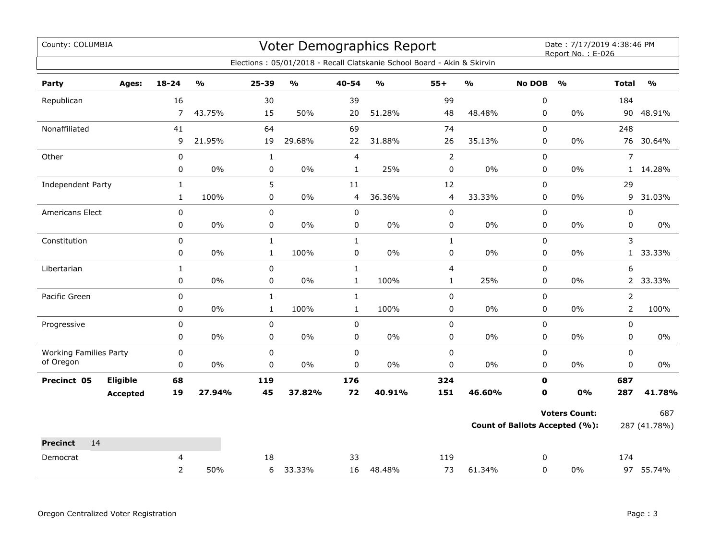| County: COLUMBIA              |                 |                |                         |              | <b>Voter Demographics Report</b> |              | Date: 7/17/2019 4:38:46 PM<br>Report No.: E-026                         |                |                                   |               |                                       |                |                                   |
|-------------------------------|-----------------|----------------|-------------------------|--------------|----------------------------------|--------------|-------------------------------------------------------------------------|----------------|-----------------------------------|---------------|---------------------------------------|----------------|-----------------------------------|
|                               |                 |                |                         |              |                                  |              | Elections: 05/01/2018 - Recall Clatskanie School Board - Akin & Skirvin |                |                                   |               |                                       |                |                                   |
| Party                         | Ages:           | $18 - 24$      | $\mathbf{O}/\mathbf{O}$ | 25-39        | $\mathbf{O}/\mathbf{o}$          | 40-54        | $\mathbf{O}/\mathbf{O}$                                                 | $55+$          | $\mathsf{o}\mathsf{v}_\mathsf{o}$ | <b>No DOB</b> | $\frac{1}{2}$                         | <b>Total</b>   | $\mathsf{o}\mathsf{v}_\mathsf{o}$ |
| Republican                    |                 | 16             |                         | 30           |                                  | 39           |                                                                         | 99             |                                   | $\pmb{0}$     |                                       | 184            |                                   |
|                               |                 | $\overline{7}$ | 43.75%                  | 15           | 50%                              | 20           | 51.28%                                                                  | 48             | 48.48%                            | 0             | $0\%$                                 | 90             | 48.91%                            |
| Nonaffiliated                 |                 | 41             |                         | 64           |                                  | 69           |                                                                         | 74             |                                   | 0             |                                       | 248            |                                   |
|                               |                 | 9              | 21.95%                  | 19           | 29.68%                           | 22           | 31.88%                                                                  | 26             | 35.13%                            | $\pmb{0}$     | $0\%$                                 | 76             | 30.64%                            |
| Other                         |                 | $\pmb{0}$      |                         | $\mathbf{1}$ |                                  | 4            |                                                                         | $\overline{2}$ |                                   | $\mathbf 0$   |                                       | $\overline{7}$ |                                   |
|                               |                 | 0              | $0\%$                   | 0            | $0\%$                            | $\mathbf{1}$ | 25%                                                                     | $\mathbf 0$    | $0\%$                             | 0             | 0%                                    | $\mathbf{1}$   | 14.28%                            |
| Independent Party             |                 | $\mathbf{1}$   |                         | 5            |                                  | 11           |                                                                         | 12             |                                   | $\mathbf 0$   |                                       | 29             |                                   |
|                               |                 | $\mathbf{1}$   | 100%                    | 0            | 0%                               | 4            | 36.36%                                                                  | $\overline{4}$ | 33.33%                            | 0             | 0%                                    | 9              | 31.03%                            |
| Americans Elect               |                 | 0              |                         | 0            |                                  | 0            |                                                                         | $\mathbf 0$    |                                   | 0             |                                       | 0              |                                   |
|                               |                 | 0              | 0%                      | 0            | 0%                               | 0            | 0%                                                                      | 0              | $0\%$                             | $\mathbf 0$   | 0%                                    | 0              | $0\%$                             |
| Constitution                  |                 | 0              |                         | $\mathbf{1}$ |                                  | $\mathbf{1}$ |                                                                         | $\mathbf{1}$   |                                   | $\mathbf 0$   |                                       | 3              |                                   |
|                               |                 | 0              | 0%                      | $\mathbf{1}$ | 100%                             | 0            | 0%                                                                      | 0              | $0\%$                             | $\mathbf 0$   | $0\%$                                 | $\mathbf{1}$   | 33.33%                            |
| Libertarian                   |                 | $\mathbf{1}$   |                         | 0            |                                  | $\mathbf{1}$ |                                                                         | 4              |                                   | 0             |                                       | 6              |                                   |
|                               |                 | 0              | $0\%$                   | 0            | 0%                               | $\mathbf{1}$ | 100%                                                                    | $\mathbf{1}$   | 25%                               | $\mathbf 0$   | 0%                                    | $\overline{2}$ | 33.33%                            |
| Pacific Green                 |                 | 0              |                         | $\mathbf{1}$ |                                  | $\mathbf{1}$ |                                                                         | $\pmb{0}$      |                                   | $\pmb{0}$     |                                       | $\overline{2}$ |                                   |
|                               |                 | 0              | 0%                      | $\mathbf{1}$ | 100%                             | $\mathbf{1}$ | 100%                                                                    | $\pmb{0}$      | $0\%$                             | 0             | $0\%$                                 | $\overline{2}$ | 100%                              |
| Progressive                   |                 | 0              |                         | 0            |                                  | 0            |                                                                         | $\pmb{0}$      |                                   | $\mathbf 0$   |                                       | $\mathbf 0$    |                                   |
|                               |                 | 0              | 0%                      | 0            | 0%                               | 0            | 0%                                                                      | $\pmb{0}$      | $0\%$                             | 0             | $0\%$                                 | 0              | $0\%$                             |
| <b>Working Families Party</b> |                 | 0              |                         | $\mathsf 0$  |                                  | 0            |                                                                         | $\mathbf 0$    |                                   | $\mathbf 0$   |                                       | 0              |                                   |
| of Oregon                     |                 | $\mathbf 0$    | 0%                      | 0            | $0\%$                            | 0            | 0%                                                                      | $\pmb{0}$      | $0\%$                             | $\mathbf 0$   | $0\%$                                 | 0              | $0\%$                             |
| Precinct 05                   | <b>Eligible</b> | 68             |                         | 119          |                                  | 176          |                                                                         | 324            |                                   | $\mathbf 0$   |                                       | 687            |                                   |
|                               | <b>Accepted</b> | 19             | 27.94%                  | 45           | 37.82%                           | 72           | 40.91%                                                                  | 151            | 46.60%                            | $\mathbf 0$   | 0%                                    | 287            | 41.78%                            |
|                               |                 |                |                         |              |                                  |              |                                                                         |                |                                   |               | <b>Voters Count:</b>                  |                | 687                               |
|                               |                 |                |                         |              |                                  |              |                                                                         |                |                                   |               | <b>Count of Ballots Accepted (%):</b> |                | 287 (41.78%)                      |
| <b>Precinct</b><br>14         |                 |                |                         |              |                                  |              |                                                                         |                |                                   |               |                                       |                |                                   |
| Democrat                      |                 | 4              |                         | 18           |                                  | 33           |                                                                         | 119            |                                   | 0             |                                       | 174            |                                   |
|                               |                 | $\overline{2}$ | 50%                     | 6            | 33.33%                           | 16           | 48.48%                                                                  | 73             | 61.34%                            | 0             | 0%                                    |                | 97 55.74%                         |